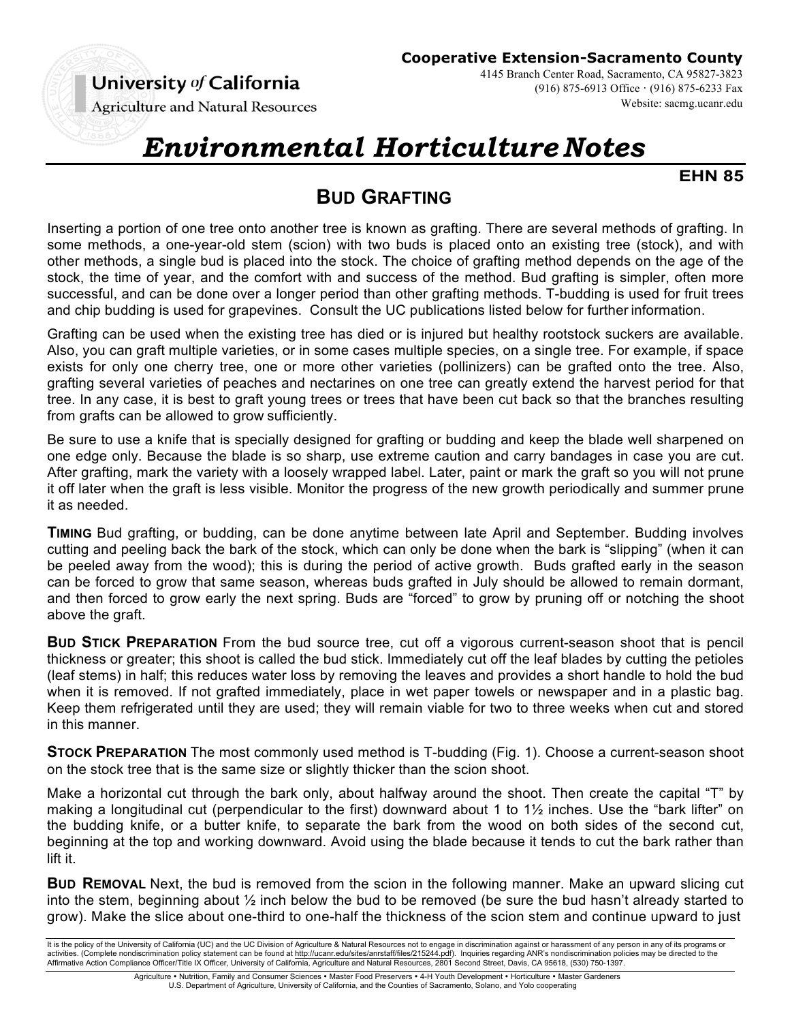## University of California

(916) 875-6913 Office · (916) 875-6233 Fax

Website: sacmg.ucanr.edu

**Agriculture and Natural Resources** 

# *Environmental Horticulture Notes*

**EHN 85**

## **BUD GRAFTING**

Inserting a portion of one tree onto another tree is known as grafting. There are several methods of grafting. In some methods, a one-year-old stem (scion) with two buds is placed onto an existing tree (stock), and with other methods, a single bud is placed into the stock. The choice of grafting method depends on the age of the stock, the time of year, and the comfort with and success of the method. Bud grafting is simpler, often more successful, and can be done over a longer period than other grafting methods. T-budding is used for fruit trees and chip budding is used for grapevines. Consult the UC publications listed below for further information.

Grafting can be used when the existing tree has died or is injured but healthy rootstock suckers are available. Also, you can graft multiple varieties, or in some cases multiple species, on a single tree. For example, if space exists for only one cherry tree, one or more other varieties (pollinizers) can be grafted onto the tree. Also, grafting several varieties of peaches and nectarines on one tree can greatly extend the harvest period for that tree. In any case, it is best to graft young trees or trees that have been cut back so that the branches resulting from grafts can be allowed to grow sufficiently.

Be sure to use a knife that is specially designed for grafting or budding and keep the blade well sharpened on one edge only. Because the blade is so sharp, use extreme caution and carry bandages in case you are cut. After grafting, mark the variety with a loosely wrapped label. Later, paint or mark the graft so you will not prune it off later when the graft is less visible. Monitor the progress of the new growth periodically and summer prune it as needed.

**TIMING** Bud grafting, or budding, can be done anytime between late April and September. Budding involves cutting and peeling back the bark of the stock, which can only be done when the bark is "slipping" (when it can be peeled away from the wood); this is during the period of active growth. Buds grafted early in the season can be forced to grow that same season, whereas buds grafted in July should be allowed to remain dormant, and then forced to grow early the next spring. Buds are "forced" to grow by pruning off or notching the shoot above the graft.

**BUD STICK PREPARATION** From the bud source tree, cut off a vigorous current-season shoot that is pencil thickness or greater; this shoot is called the bud stick. Immediately cut off the leaf blades by cutting the petioles (leaf stems) in half; this reduces water loss by removing the leaves and provides a short handle to hold the bud when it is removed. If not grafted immediately, place in wet paper towels or newspaper and in a plastic bag. Keep them refrigerated until they are used; they will remain viable for two to three weeks when cut and stored in this manner.

**STOCK PREPARATION** The most commonly used method is T-budding (Fig. 1). Choose a current-season shoot on the stock tree that is the same size or slightly thicker than the scion shoot.

Make a horizontal cut through the bark only, about halfway around the shoot. Then create the capital "T" by making a longitudinal cut (perpendicular to the first) downward about 1 to 1½ inches. Use the "bark lifter" on the budding knife, or a butter knife, to separate the bark from the wood on both sides of the second cut, beginning at the top and working downward. Avoid using the blade because it tends to cut the bark rather than lift it.

**BUD REMOVAL** Next, the bud is removed from the scion in the following manner. Make an upward slicing cut into the stem, beginning about ½ inch below the bud to be removed (be sure the bud hasn't already started to grow). Make the slice about one-third to one-half the thickness of the scion stem and continue upward to just

It is the policy of the University of California (UC) and the UC Division of Agriculture & Natural Resources not to engage in discrimination against or harassment of any person in any of its programs or activities. (Complete nondiscrimination policy statement can be found at http://ucanr.edu/sites/anrstaff/files/215244.pdf). Inquiries regarding ANR's nondiscrimination policies may be directed to the Affirmative Action Compliance Officer/Title IX Officer, University of California, Agriculture and Natural Resources, 2801 Second Street, Davis, CA 95618, (530) 750-1397.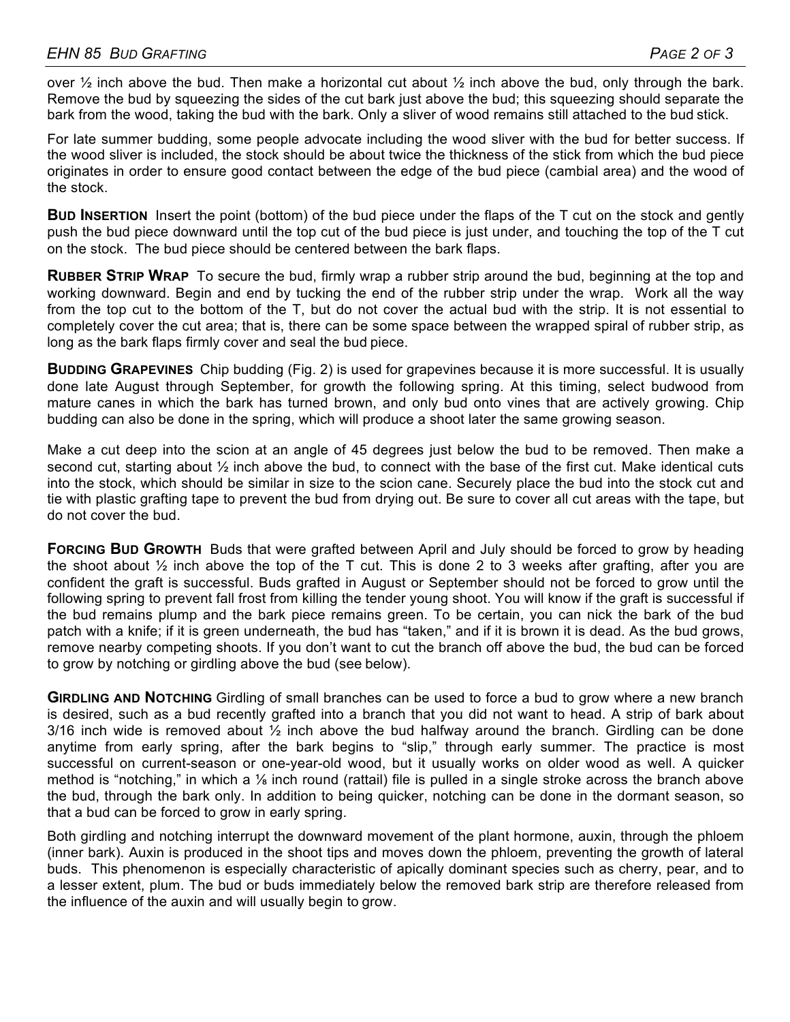over  $\frac{1}{2}$  inch above the bud. Then make a horizontal cut about  $\frac{1}{2}$  inch above the bud, only through the bark. Remove the bud by squeezing the sides of the cut bark just above the bud; this squeezing should separate the bark from the wood, taking the bud with the bark. Only a sliver of wood remains still attached to the bud stick.

For late summer budding, some people advocate including the wood sliver with the bud for better success. If the wood sliver is included, the stock should be about twice the thickness of the stick from which the bud piece originates in order to ensure good contact between the edge of the bud piece (cambial area) and the wood of the stock.

**BUD INSERTION** Insert the point (bottom) of the bud piece under the flaps of the T cut on the stock and gently push the bud piece downward until the top cut of the bud piece is just under, and touching the top of the T cut on the stock. The bud piece should be centered between the bark flaps.

**RUBBER STRIP WRAP** To secure the bud, firmly wrap a rubber strip around the bud, beginning at the top and working downward. Begin and end by tucking the end of the rubber strip under the wrap. Work all the way from the top cut to the bottom of the T, but do not cover the actual bud with the strip. It is not essential to completely cover the cut area; that is, there can be some space between the wrapped spiral of rubber strip, as long as the bark flaps firmly cover and seal the bud piece.

**BUDDING GRAPEVINES** Chip budding (Fig. 2) is used for grapevines because it is more successful. It is usually done late August through September, for growth the following spring. At this timing, select budwood from mature canes in which the bark has turned brown, and only bud onto vines that are actively growing. Chip budding can also be done in the spring, which will produce a shoot later the same growing season.

Make a cut deep into the scion at an angle of 45 degrees just below the bud to be removed. Then make a second cut, starting about ½ inch above the bud, to connect with the base of the first cut. Make identical cuts into the stock, which should be similar in size to the scion cane. Securely place the bud into the stock cut and tie with plastic grafting tape to prevent the bud from drying out. Be sure to cover all cut areas with the tape, but do not cover the bud.

**FORCING BUD GROWTH** Buds that were grafted between April and July should be forced to grow by heading the shoot about  $\frac{1}{2}$  inch above the top of the T cut. This is done 2 to 3 weeks after grafting, after you are confident the graft is successful. Buds grafted in August or September should not be forced to grow until the following spring to prevent fall frost from killing the tender young shoot. You will know if the graft is successful if the bud remains plump and the bark piece remains green. To be certain, you can nick the bark of the bud patch with a knife; if it is green underneath, the bud has "taken," and if it is brown it is dead. As the bud grows, remove nearby competing shoots. If you don't want to cut the branch off above the bud, the bud can be forced to grow by notching or girdling above the bud (see below).

**GIRDLING AND NOTCHING** Girdling of small branches can be used to force a bud to grow where a new branch is desired, such as a bud recently grafted into a branch that you did not want to head. A strip of bark about 3/16 inch wide is removed about  $\frac{1}{2}$  inch above the bud halfway around the branch. Girdling can be done anytime from early spring, after the bark begins to "slip," through early summer. The practice is most successful on current-season or one-year-old wood, but it usually works on older wood as well. A quicker method is "notching," in which a 1/<sub>8</sub> inch round (rattail) file is pulled in a single stroke across the branch above the bud, through the bark only. In addition to being quicker, notching can be done in the dormant season, so that a bud can be forced to grow in early spring.

Both girdling and notching interrupt the downward movement of the plant hormone, auxin, through the phloem (inner bark). Auxin is produced in the shoot tips and moves down the phloem, preventing the growth of lateral buds. This phenomenon is especially characteristic of apically dominant species such as cherry, pear, and to a lesser extent, plum. The bud or buds immediately below the removed bark strip are therefore released from the influence of the auxin and will usually begin to grow.